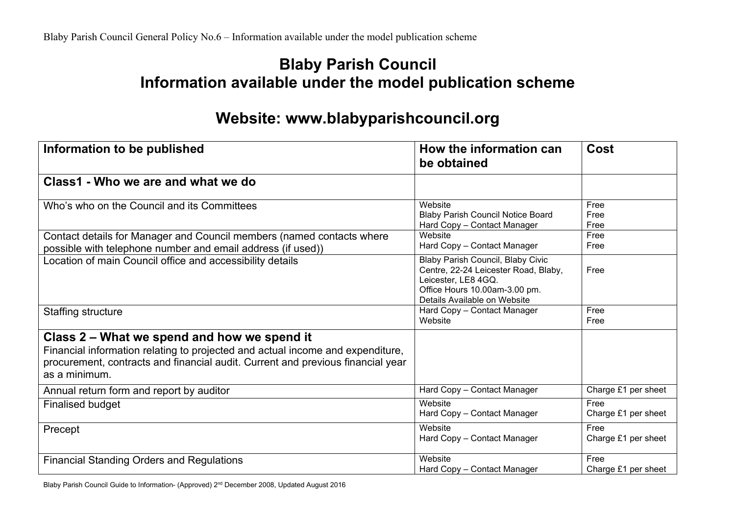## **Blaby Parish Council Information available under the model publication scheme**

## **Website: www.blabyparishcouncil.org**

| Information to be published                                                                                                                                                                                                       | How the information can<br>be obtained                                                                                                                                   | <b>Cost</b>                 |
|-----------------------------------------------------------------------------------------------------------------------------------------------------------------------------------------------------------------------------------|--------------------------------------------------------------------------------------------------------------------------------------------------------------------------|-----------------------------|
| Class1 - Who we are and what we do                                                                                                                                                                                                |                                                                                                                                                                          |                             |
| Who's who on the Council and its Committees                                                                                                                                                                                       | Website<br><b>Blaby Parish Council Notice Board</b><br>Hard Copy - Contact Manager                                                                                       | Free<br>Free<br>Free        |
| Contact details for Manager and Council members (named contacts where<br>possible with telephone number and email address (if used))                                                                                              | Website<br>Hard Copy - Contact Manager                                                                                                                                   | Free<br>Free                |
| Location of main Council office and accessibility details                                                                                                                                                                         | <b>Blaby Parish Council, Blaby Civic</b><br>Centre, 22-24 Leicester Road, Blaby,<br>Leicester, LE8 4GQ.<br>Office Hours 10.00am-3.00 pm.<br>Details Available on Website | Free                        |
| <b>Staffing structure</b>                                                                                                                                                                                                         | Hard Copy - Contact Manager<br>Website                                                                                                                                   | Free<br>Free                |
| Class 2 – What we spend and how we spend it<br>Financial information relating to projected and actual income and expenditure,<br>procurement, contracts and financial audit. Current and previous financial year<br>as a minimum. |                                                                                                                                                                          |                             |
| Annual return form and report by auditor                                                                                                                                                                                          | Hard Copy - Contact Manager                                                                                                                                              | Charge £1 per sheet         |
| <b>Finalised budget</b>                                                                                                                                                                                                           | Website<br>Hard Copy - Contact Manager                                                                                                                                   | Free<br>Charge £1 per sheet |
| Precept                                                                                                                                                                                                                           | Website<br>Hard Copy - Contact Manager                                                                                                                                   | Free<br>Charge £1 per sheet |
| <b>Financial Standing Orders and Regulations</b>                                                                                                                                                                                  | Website<br>Hard Copy - Contact Manager                                                                                                                                   | Free<br>Charge £1 per sheet |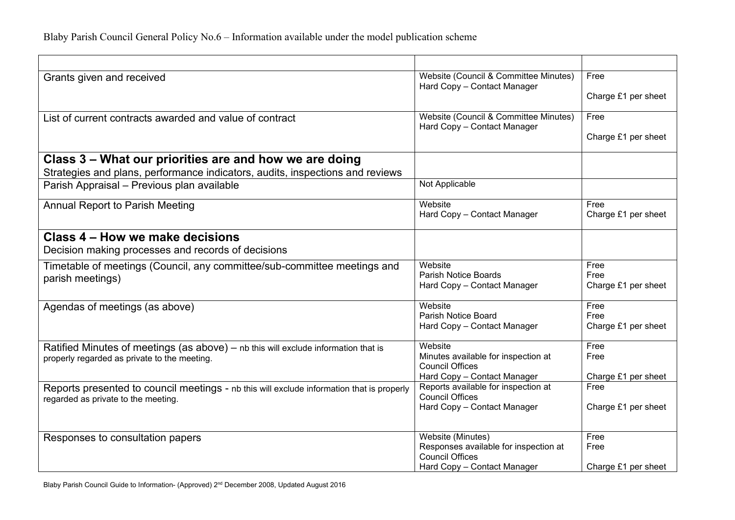| Website (Council & Committee Minutes)                                                                                            | Free                                                                                                                                                                                                                                                                                                                                                                                                                                    |
|----------------------------------------------------------------------------------------------------------------------------------|-----------------------------------------------------------------------------------------------------------------------------------------------------------------------------------------------------------------------------------------------------------------------------------------------------------------------------------------------------------------------------------------------------------------------------------------|
|                                                                                                                                  | Charge £1 per sheet                                                                                                                                                                                                                                                                                                                                                                                                                     |
| Website (Council & Committee Minutes)                                                                                            | Free                                                                                                                                                                                                                                                                                                                                                                                                                                    |
| Hard Copy - Contact Manager                                                                                                      |                                                                                                                                                                                                                                                                                                                                                                                                                                         |
|                                                                                                                                  | Charge £1 per sheet                                                                                                                                                                                                                                                                                                                                                                                                                     |
|                                                                                                                                  |                                                                                                                                                                                                                                                                                                                                                                                                                                         |
|                                                                                                                                  |                                                                                                                                                                                                                                                                                                                                                                                                                                         |
|                                                                                                                                  |                                                                                                                                                                                                                                                                                                                                                                                                                                         |
| Website                                                                                                                          | Free                                                                                                                                                                                                                                                                                                                                                                                                                                    |
|                                                                                                                                  | Charge £1 per sheet                                                                                                                                                                                                                                                                                                                                                                                                                     |
|                                                                                                                                  |                                                                                                                                                                                                                                                                                                                                                                                                                                         |
|                                                                                                                                  |                                                                                                                                                                                                                                                                                                                                                                                                                                         |
| Website                                                                                                                          | Free                                                                                                                                                                                                                                                                                                                                                                                                                                    |
|                                                                                                                                  | Free<br>Charge £1 per sheet                                                                                                                                                                                                                                                                                                                                                                                                             |
|                                                                                                                                  |                                                                                                                                                                                                                                                                                                                                                                                                                                         |
| Website                                                                                                                          | Free<br>Free                                                                                                                                                                                                                                                                                                                                                                                                                            |
|                                                                                                                                  | Charge £1 per sheet                                                                                                                                                                                                                                                                                                                                                                                                                     |
|                                                                                                                                  |                                                                                                                                                                                                                                                                                                                                                                                                                                         |
|                                                                                                                                  | Free                                                                                                                                                                                                                                                                                                                                                                                                                                    |
|                                                                                                                                  | Free                                                                                                                                                                                                                                                                                                                                                                                                                                    |
| Hard Copy - Contact Manager                                                                                                      | Charge £1 per sheet                                                                                                                                                                                                                                                                                                                                                                                                                     |
| Reports available for inspection at<br>Reports presented to council meetings - nb this will exclude information that is properly | Free                                                                                                                                                                                                                                                                                                                                                                                                                                    |
|                                                                                                                                  | Charge £1 per sheet                                                                                                                                                                                                                                                                                                                                                                                                                     |
|                                                                                                                                  |                                                                                                                                                                                                                                                                                                                                                                                                                                         |
| Website (Minutes)                                                                                                                | Free                                                                                                                                                                                                                                                                                                                                                                                                                                    |
|                                                                                                                                  | Free                                                                                                                                                                                                                                                                                                                                                                                                                                    |
|                                                                                                                                  | Charge £1 per sheet                                                                                                                                                                                                                                                                                                                                                                                                                     |
|                                                                                                                                  | Hard Copy - Contact Manager<br>Not Applicable<br>Hard Copy - Contact Manager<br>Parish Notice Boards<br>Hard Copy - Contact Manager<br><b>Parish Notice Board</b><br>Hard Copy - Contact Manager<br>Website<br>Minutes available for inspection at<br><b>Council Offices</b><br><b>Council Offices</b><br>Hard Copy - Contact Manager<br>Responses available for inspection at<br><b>Council Offices</b><br>Hard Copy - Contact Manager |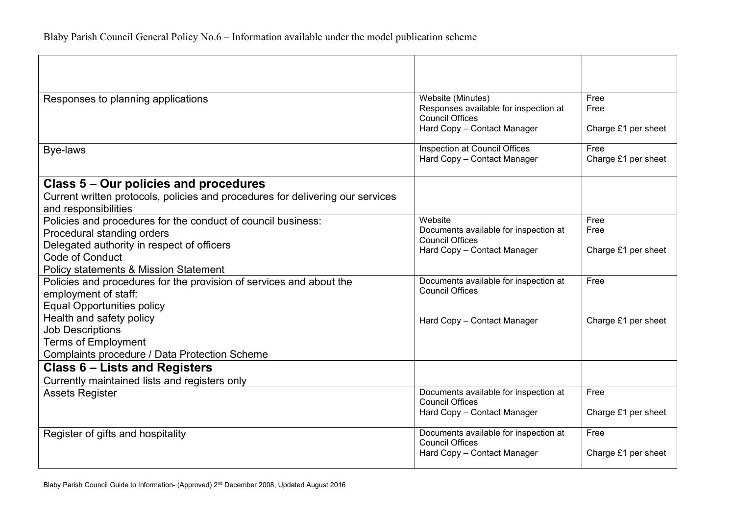| Website (Minutes)<br>Free<br>Responses to planning applications<br>Responses available for inspection at<br>Free<br><b>Council Offices</b><br>Hard Copy - Contact Manager<br>Charge £1 per sheet<br>Inspection at Council Offices<br>Free<br>Bye-laws<br>Charge £1 per sheet<br>Hard Copy - Contact Manager<br>Class 5 – Our policies and procedures<br>Current written protocols, policies and procedures for delivering our services<br>and responsibilities<br>Website<br>Policies and procedures for the conduct of council business:<br>Free<br>Documents available for inspection at<br>Free<br>Procedural standing orders<br><b>Council Offices</b><br>Delegated authority in respect of officers<br>Hard Copy - Contact Manager<br>Charge £1 per sheet<br><b>Code of Conduct</b><br><b>Policy statements &amp; Mission Statement</b> |
|----------------------------------------------------------------------------------------------------------------------------------------------------------------------------------------------------------------------------------------------------------------------------------------------------------------------------------------------------------------------------------------------------------------------------------------------------------------------------------------------------------------------------------------------------------------------------------------------------------------------------------------------------------------------------------------------------------------------------------------------------------------------------------------------------------------------------------------------|
|                                                                                                                                                                                                                                                                                                                                                                                                                                                                                                                                                                                                                                                                                                                                                                                                                                              |
|                                                                                                                                                                                                                                                                                                                                                                                                                                                                                                                                                                                                                                                                                                                                                                                                                                              |
|                                                                                                                                                                                                                                                                                                                                                                                                                                                                                                                                                                                                                                                                                                                                                                                                                                              |
|                                                                                                                                                                                                                                                                                                                                                                                                                                                                                                                                                                                                                                                                                                                                                                                                                                              |
|                                                                                                                                                                                                                                                                                                                                                                                                                                                                                                                                                                                                                                                                                                                                                                                                                                              |
|                                                                                                                                                                                                                                                                                                                                                                                                                                                                                                                                                                                                                                                                                                                                                                                                                                              |
|                                                                                                                                                                                                                                                                                                                                                                                                                                                                                                                                                                                                                                                                                                                                                                                                                                              |
|                                                                                                                                                                                                                                                                                                                                                                                                                                                                                                                                                                                                                                                                                                                                                                                                                                              |
|                                                                                                                                                                                                                                                                                                                                                                                                                                                                                                                                                                                                                                                                                                                                                                                                                                              |
|                                                                                                                                                                                                                                                                                                                                                                                                                                                                                                                                                                                                                                                                                                                                                                                                                                              |
|                                                                                                                                                                                                                                                                                                                                                                                                                                                                                                                                                                                                                                                                                                                                                                                                                                              |
|                                                                                                                                                                                                                                                                                                                                                                                                                                                                                                                                                                                                                                                                                                                                                                                                                                              |
|                                                                                                                                                                                                                                                                                                                                                                                                                                                                                                                                                                                                                                                                                                                                                                                                                                              |
|                                                                                                                                                                                                                                                                                                                                                                                                                                                                                                                                                                                                                                                                                                                                                                                                                                              |
| Documents available for inspection at<br>Policies and procedures for the provision of services and about the<br>Free<br><b>Council Offices</b>                                                                                                                                                                                                                                                                                                                                                                                                                                                                                                                                                                                                                                                                                               |
| employment of staff:                                                                                                                                                                                                                                                                                                                                                                                                                                                                                                                                                                                                                                                                                                                                                                                                                         |
| <b>Equal Opportunities policy</b>                                                                                                                                                                                                                                                                                                                                                                                                                                                                                                                                                                                                                                                                                                                                                                                                            |
| Health and safety policy<br>Charge £1 per sheet<br>Hard Copy - Contact Manager                                                                                                                                                                                                                                                                                                                                                                                                                                                                                                                                                                                                                                                                                                                                                               |
| <b>Job Descriptions</b>                                                                                                                                                                                                                                                                                                                                                                                                                                                                                                                                                                                                                                                                                                                                                                                                                      |
| <b>Terms of Employment</b>                                                                                                                                                                                                                                                                                                                                                                                                                                                                                                                                                                                                                                                                                                                                                                                                                   |
| <b>Complaints procedure / Data Protection Scheme</b>                                                                                                                                                                                                                                                                                                                                                                                                                                                                                                                                                                                                                                                                                                                                                                                         |
| Class 6 – Lists and Registers                                                                                                                                                                                                                                                                                                                                                                                                                                                                                                                                                                                                                                                                                                                                                                                                                |
| Currently maintained lists and registers only                                                                                                                                                                                                                                                                                                                                                                                                                                                                                                                                                                                                                                                                                                                                                                                                |
| Documents available for inspection at<br>Free<br><b>Assets Register</b>                                                                                                                                                                                                                                                                                                                                                                                                                                                                                                                                                                                                                                                                                                                                                                      |
| <b>Council Offices</b><br>Charge £1 per sheet                                                                                                                                                                                                                                                                                                                                                                                                                                                                                                                                                                                                                                                                                                                                                                                                |
| Hard Copy - Contact Manager                                                                                                                                                                                                                                                                                                                                                                                                                                                                                                                                                                                                                                                                                                                                                                                                                  |
| Documents available for inspection at<br>Free<br>Register of gifts and hospitality                                                                                                                                                                                                                                                                                                                                                                                                                                                                                                                                                                                                                                                                                                                                                           |
| <b>Council Offices</b>                                                                                                                                                                                                                                                                                                                                                                                                                                                                                                                                                                                                                                                                                                                                                                                                                       |
| Charge £1 per sheet<br>Hard Copy - Contact Manager                                                                                                                                                                                                                                                                                                                                                                                                                                                                                                                                                                                                                                                                                                                                                                                           |